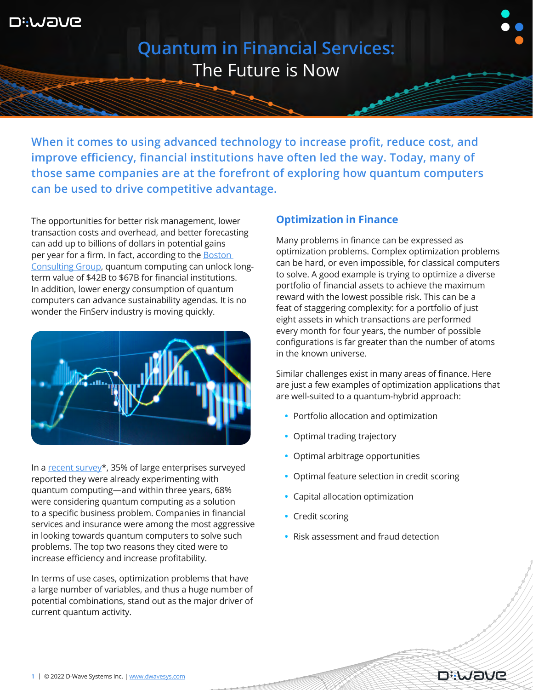

**Quantum in Financial Services:** The Future is Now

**When it comes to using advanced technology to increase profit, reduce cost, and improve efficiency, financial institutions have often led the way. Today, many of those same companies are at the forefront of exploring how quantum computers can be used to drive competitive advantage.** 

The opportunities for better risk management, lower transaction costs and overhead, and better forecasting can add up to billions of dollars in potential gains per year for a firm. In fact, according to the [Boston](https://www.bcg.com/publications/2020/how-financial-institutions-can-utilize-quantum-computing)  [Consulting Group](https://www.bcg.com/publications/2020/how-financial-institutions-can-utilize-quantum-computing), quantum computing can unlock longterm value of \$42B to \$67B for financial institutions. In addition, lower energy consumption of quantum computers can advance sustainability agendas. It is no wonder the FinServ industry is moving quickly.



In a [recent survey\\*](https://www.dwavesys.com/media/an1helvq/hyperion_report_v2.pdf), 35% of large enterprises surveyed reported they were already experimenting with quantum computing—and within three years, 68% were considering quantum computing as a solution to a specific business problem. Companies in financial services and insurance were among the most aggressive in looking towards quantum computers to solve such problems. The top two reasons they cited were to increase efficiency and increase profitability.

In terms of use cases, optimization problems that have a large number of variables, and thus a huge number of potential combinations, stand out as the major driver of current quantum activity.

## **Optimization in Finance**

Many problems in finance can be expressed as optimization problems. Complex optimization problems can be hard, or even impossible, for classical computers to solve. A good example is trying to optimize a diverse portfolio of financial assets to achieve the maximum reward with the lowest possible risk. This can be a feat of staggering complexity: for a portfolio of just eight assets in which transactions are performed every month for four years, the number of possible configurations is far greater than the number of atoms in the known universe.

Similar challenges exist in many areas of finance. Here are just a few examples of optimization applications that are well-suited to a quantum-hybrid approach:

- **•** Portfolio allocation and optimization
- **•** Optimal trading trajectory
- **•** Optimal arbitrage opportunities
- **•** Optimal feature selection in credit scoring
- **•** Capital allocation optimization
- **•** Credit scoring
- **•** Risk assessment and fraud detection

**DiWaVe**